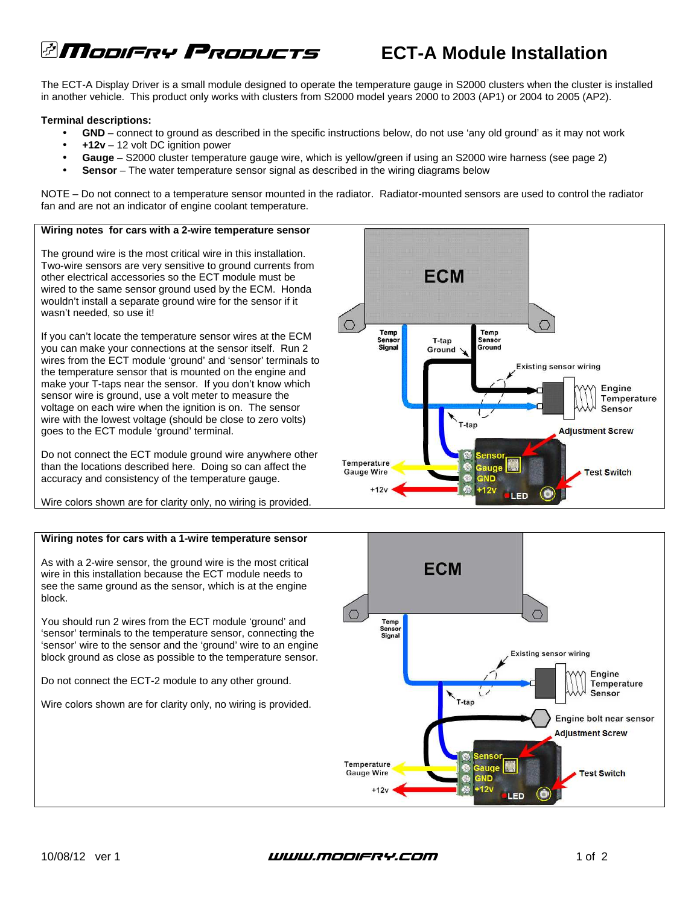# **ECT-A Module Installation ECT-A Module Installation**

The ECT-A Display Driver is a small module designed to operate the temperature gauge in S2000 clusters when the cluster is installed in another vehicle. This product only works with clusters from S2000 model years 2000 to 2003 (AP1) or 2004 to 2005 (AP2).

## **Terminal descriptions:**

- **GND**  connect to ground as described in the specific instructions below, do not use 'any old ground' as it may not work
- **+12v** 12 volt DC ignition power
- **Gauge** S2000 cluster temperature gauge wire, which is yellow/green if using an S2000 wire harness (see page 2)
- **Sensor** The water temperature sensor signal as described in the wiring diagrams below

NOTE – Do not connect to a temperature sensor mounted in the radiator. Radiator-mounted sensors are used to control the radiator fan and are not an indicator of engine coolant temperature.

## **Wiring notes for cars with a 2-wire temperature sensor**

The ground wire is the most critical wire in this installation. Two-wire sensors are very sensitive to ground currents from other electrical accessories so the ECT module must be wired to the same sensor ground used by the ECM. Honda wouldn't install a separate ground wire for the sensor if it wasn't needed, so use it!

If you can't locate the temperature sensor wires at the ECM you can make your connections at the sensor itself. Run 2 wires from the ECT module 'ground' and 'sensor' terminals to the temperature sensor that is mounted on the engine and make your T-taps near the sensor. If you don't know which sensor wire is ground, use a volt meter to measure the voltage on each wire when the ignition is on. The sensor wire with the lowest voltage (should be close to zero volts) goes to the ECT module 'ground' terminal.

Do not connect the ECT module ground wire anywhere other than the locations described here. Doing so can affect the accuracy and consistency of the temperature gauge.

Wire colors shown are for clarity only, no wiring is provided.

## **Wiring notes for cars with a 1-wire temperature sensor**

As with a 2-wire sensor, the ground wire is the most critical wire in this installation because the ECT module needs to see the same ground as the sensor, which is at the engine block.

You should run 2 wires from the ECT module 'ground' and 'sensor' terminals to the temperature sensor, connecting the 'sensor' wire to the sensor and the 'ground' wire to an engine block ground as close as possible to the temperature sensor.

Do not connect the ECT-2 module to any other ground.

Wire colors shown are for clarity only, no wiring is provided.